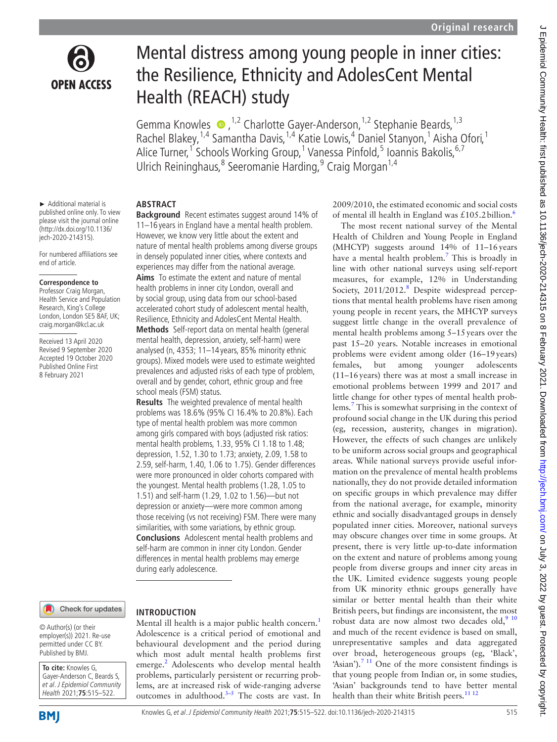

# Mental distress among young people in inner cities: the Resilience, Ethnicity and AdolesCent Mental Health (REACH) study

GemmaKnowles  $\bullet$ ,<sup>1,2</sup> Charlotte Gayer-Anderson,<sup>1,2</sup> Stephanie Beards,<sup>1,3</sup> Rachel Blakey,<sup>1,4</sup> Samantha Davis,<sup>1,4</sup> Katie Lowis,<sup>4</sup> Daniel Stanyon,<sup>1</sup> Aisha Ofori,<sup>1</sup> Alice Turner,<sup>1</sup> Schools Working Group,<sup>1</sup> Vanessa Pinfold,<sup>5</sup> Ioannis Bakolis,<sup>6,7</sup> Ulrich Reininghaus, <sup>8</sup> Seeromanie Harding, <sup>9</sup> Craig Morgan<sup>1,4</sup>

► Additional material is published online only. To view please visit the journal online (http://dx.doi.org/10.1136/ jech-2020-214315).

For numbered affiliations see end of article.

#### **Correspondence to**

Professor Craig Morgan, Health Service and Population Research, King's College London, London SE5 8AF, UK; craig.morgan@kcl.ac.uk

Received 13 April 2020 Revised 9 September 2020 Accepted 19 October 2020 Published Online First 8 February 2021

## **ABSTRACT**

**Background** Recent estimates suggest around 14% of 11–16 years in England have a mental health problem. However, we know very little about the extent and nature of mental health problems among diverse groups in densely populated inner cities, where contexts and experiences may differ from the national average. **Aims** To estimate the extent and nature of mental health problems in inner city London, overall and by social group, using data from our school-based accelerated cohort study of adolescent mental health, Resilience, Ethnicity and AdolesCent Mental Health. **Methods** Self-report data on mental health (general

mental health, depression, anxiety, self-harm) were analysed (n, 4353; 11–14 years, 85% minority ethnic groups). Mixed models were used to estimate weighted prevalences and adjusted risks of each type of problem, overall and by gender, cohort, ethnic group and free school meals (FSM) status.

**Results** The weighted prevalence of mental health problems was 18.6% (95% CI 16.4% to 20.8%). Each type of mental health problem was more common among girls compared with boys (adjusted risk ratios: mental health problems, 1.33, 95% CI 1.18 to 1.48; depression, 1.52, 1.30 to 1.73; anxiety, 2.09, 1.58 to 2.59, self-harm, 1.40, 1.06 to 1.75). Gender differences were more pronounced in older cohorts compared with the youngest. Mental health problems (1.28, 1.05 to 1.51) and self-harm (1.29, 1.02 to 1.56)—but not depression or anxiety—were more common among those receiving (vs not receiving) FSM. There were many similarities, with some variations, by ethnic group. **Conclusions** Adolescent mental health problems and self-harm are common in inner city London. Gender differences in mental health problems may emerge during early adolescence.

Check for updates

#### **INTRODUCTION**

© Author(s) (or their employer(s)) 2021. Re-use permitted under CC BY. Published by BMJ.

**To cite:** Knowles G, Gayer-Anderson C, Beards S, et al. J Epidemiol Community Health 2021;**75**:515–522.



Mental ill health is a major public health concern.<sup>[1](#page-7-0)</sup> Adolescence is a critical period of emotional and behavioural development and the period during which most adult mental health problems first emerge.<sup>2</sup> Adolescents who develop mental health problems, particularly persistent or recurring problems, are at increased risk of wide-ranging adverse outcomes in adulthood.<sup>3-5</sup> The costs are vast. In

2009/2010, the estimated economic and social costs of mental ill health in England was  $£105.2$  billion.<sup>6</sup>

The most recent national survey of the Mental Health of Children and Young People in England (MHCYP) suggests around 14% of 11–16years have a mental health problem.<sup>[7](#page-7-4)</sup> This is broadly in line with other national surveys using self-report measures, for example, 12% in Understanding Society, 2011/2012.<sup>[8](#page-7-5)</sup> Despite widespread perceptions that mental health problems have risen among young people in recent years, the MHCYP surveys suggest little change in the overall prevalence of mental health problems among 5–15years over the past 15–20 years. Notable increases in emotional problems were evident among older (16–19years) females, but among younger adolescents (11–16years) there was at most a small increase in emotional problems between 1999 and 2017 and little change for other types of mental health problems.[7](#page-7-4) This is somewhat surprising in the context of profound social change in the UK during this period (eg, recession, austerity, changes in migration). However, the effects of such changes are unlikely to be uniform across social groups and geographical areas. While national surveys provide useful information on the prevalence of mental health problems nationally, they do not provide detailed information on specific groups in which prevalence may differ from the national average, for example, minority ethnic and socially disadvantaged groups in densely populated inner cities. Moreover, national surveys may obscure changes over time in some groups. At present, there is very little up-to-date information on the extent and nature of problems among young people from diverse groups and inner city areas in the UK. Limited evidence suggests young people from UK minority ethnic groups generally have similar or better mental health than their white British peers, but findings are inconsistent, the most robust data are now almost two decades old,<sup>[9 10](#page-7-6)</sup> and much of the recent evidence is based on small, unrepresentative samples and data aggregated over broad, heterogeneous groups (eg, 'Black', 'Asian').<sup>7 11</sup> One of the more consistent findings is that young people from Indian or, in some studies, 'Asian' backgrounds tend to have better mental health than their white British peers.<sup>[11 12](#page-7-7)</sup>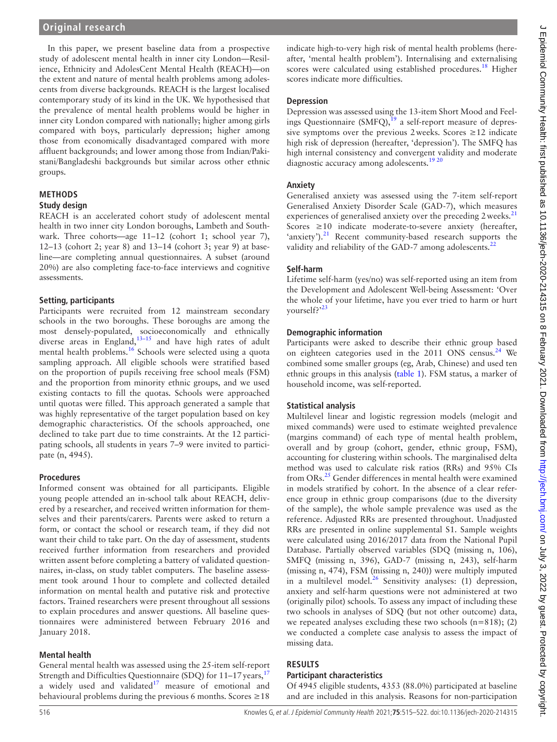## **Original research**

In this paper, we present baseline data from a prospective study of adolescent mental health in inner city London—Resilience, Ethnicity and AdolesCent Mental Health (REACH)—on the extent and nature of mental health problems among adolescents from diverse backgrounds. REACH is the largest localised contemporary study of its kind in the UK. We hypothesised that the prevalence of mental health problems would be higher in inner city London compared with nationally; higher among girls compared with boys, particularly depression; higher among those from economically disadvantaged compared with more affluent backgrounds; and lower among those from Indian/Pakistani/Bangladeshi backgrounds but similar across other ethnic groups.

## **METHODS**

#### **Study design**

REACH is an accelerated cohort study of adolescent mental health in two inner city London boroughs, Lambeth and Southwark. Three cohorts—age 11–12 (cohort 1; school year 7), 12–13 (cohort 2; year 8) and 13–14 (cohort 3; year 9) at baseline—are completing annual questionnaires. A subset (around 20%) are also completing face-to-face interviews and cognitive assessments.

### **Setting, participants**

Participants were recruited from 12 mainstream secondary schools in the two boroughs. These boroughs are among the most densely-populated, socioeconomically and ethnically diverse areas in England, $13-15$  and have high rates of adult mental health problems.[16](#page-7-9) Schools were selected using a quota sampling approach. All eligible schools were stratified based on the proportion of pupils receiving free school meals (FSM) and the proportion from minority ethnic groups, and we used existing contacts to fill the quotas. Schools were approached until quotas were filled. This approach generated a sample that was highly representative of the target population based on key demographic characteristics. Of the schools approached, one declined to take part due to time constraints. At the 12 participating schools, all students in years 7–9 were invited to participate (n, 4945).

## **Procedures**

Informed consent was obtained for all participants. Eligible young people attended an in-school talk about REACH, delivered by a researcher, and received written information for themselves and their parents/carers. Parents were asked to return a form, or contact the school or research team, if they did not want their child to take part. On the day of assessment, students received further information from researchers and provided written assent before completing a battery of validated questionnaires, in-class, on study tablet computers. The baseline assessment took around 1hour to complete and collected detailed information on mental health and putative risk and protective factors. Trained researchers were present throughout all sessions to explain procedures and answer questions. All baseline questionnaires were administered between February 2016 and January 2018.

## **Mental health**

General mental health was assessed using the 25-item self-report Strength and Difficulties Questionnaire (SDQ) for  $11-17$  $11-17$  years,  $17$ a widely used and validated $17$  measure of emotional and behavioural problems during the previous 6 months. Scores  $\geq 18$ 

indicate high-to-very high risk of mental health problems (hereafter, 'mental health problem'). Internalising and externalising scores were calculated using established procedures.<sup>18</sup> Higher scores indicate more difficulties.

#### **Depression**

Depression was assessed using the 13-item Short Mood and Feelings Questionnaire  $(SMFQ)$ ,  $^{19}$  $^{19}$  $^{19}$  a self-report measure of depressive symptoms over the previous 2 weeks. Scores  $\geq$  12 indicate high risk of depression (hereafter, 'depression'). The SMFQ has high internal consistency and convergent validity and moderate diagnostic accuracy among adolescents.<sup>[19 20](#page-7-12)</sup>

## **Anxiety**

Generalised anxiety was assessed using the 7-item self-report Generalised Anxiety Disorder Scale (GAD-7), which measures experiences of generalised anxiety over the preceding 2 weeks.<sup>[21](#page-7-13)</sup> Scores  $\geq 10$  indicate moderate-to-severe anxiety (hereafter, 'anxiety').<sup>[21](#page-7-13)</sup> Recent community-based research supports the validity and reliability of the GAD-7 among adolescents.<sup>2</sup>

## **Self-harm**

Lifetime self-harm (yes/no) was self-reported using an item from the Development and Adolescent Well-being Assessment: 'Over the whole of your lifetime, have you ever tried to harm or hurt yourself?'[23](#page-7-15)

## **Demographic information**

Participants were asked to describe their ethnic group based on eighteen categories used in the 2011 ONS census.<sup>[24](#page-7-16)</sup> We combined some smaller groups (eg, Arab, Chinese) and used ten ethnic groups in this analysis ([table](#page-2-0) 1). FSM status, a marker of household income, was self-reported.

## **Statistical analysis**

Multilevel linear and logistic regression models (melogit and mixed commands) were used to estimate weighted prevalence (margins command) of each type of mental health problem, overall and by group (cohort, gender, ethnic group, FSM), accounting for clustering within schools. The marginalised delta method was used to calculate risk ratios (RRs) and 95% CIs from ORs[.25](#page-7-17) Gender differences in mental health were examined in models stratified by cohort. In the absence of a clear reference group in ethnic group comparisons (due to the diversity of the sample), the whole sample prevalence was used as the reference. Adjusted RRs are presented throughout. Unadjusted RRs are presented in [online supplemental S1](https://dx.doi.org/10.1136/jech-2020-214315). Sample weights were calculated using 2016/2017 data from the National Pupil Database. Partially observed variables (SDQ (missing n, 106), SMFQ (missing n, 396), GAD-7 (missing n, 243), self-harm (missing n, 474), FSM (missing n, 240)) were multiply imputed in a multilevel model.<sup>26</sup> Sensitivity analyses: (1) depression, anxiety and self-harm questions were not administered at two (originally pilot) schools. To assess any impact of including these two schools in analyses of SDQ (but not other outcome) data, we repeated analyses excluding these two schools (n=818); (2) we conducted a complete case analysis to assess the impact of missing data.

## **RESULTS**

## **Participant characteristics**

Of 4945 eligible students, 4353 (88.0%) participated at baseline and are included in this analysis. Reasons for non-participation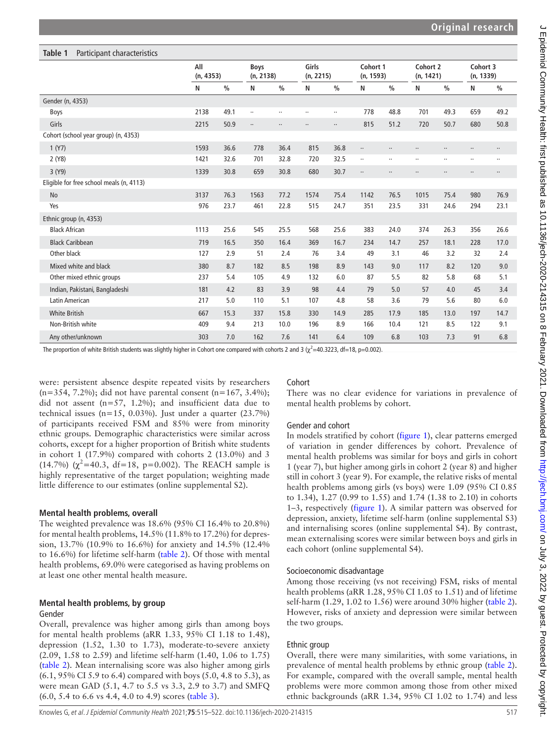<span id="page-2-0"></span>

| Table 1<br>Participant characteristics   |                  |               |                          |               |                    |               |                       |               |                       |               |                       |               |
|------------------------------------------|------------------|---------------|--------------------------|---------------|--------------------|---------------|-----------------------|---------------|-----------------------|---------------|-----------------------|---------------|
|                                          | All<br>(n, 4353) |               | <b>Boys</b><br>(n, 2138) |               | Girls<br>(n, 2215) |               | Cohort 1<br>(n, 1593) |               | Cohort 2<br>(n, 1421) |               | Cohort 3<br>(n, 1339) |               |
|                                          | N                | $\frac{0}{0}$ | N                        | $\frac{0}{0}$ | N                  | $\frac{0}{0}$ | N                     | $\frac{0}{0}$ | N                     | $\frac{0}{0}$ | N                     | $\frac{0}{0}$ |
| Gender (n, 4353)                         |                  |               |                          |               |                    |               |                       |               |                       |               |                       |               |
| Boys                                     | 2138             | 49.1          | $\ldots$                 | $\cdots$      | $\ldots$           |               | 778                   | 48.8          | 701                   | 49.3          | 659                   | 49.2          |
| Girls                                    | 2215             | 50.9          | $\ldots$                 | $\cdots$      |                    |               | 815                   | 51.2          | 720                   | 50.7          | 680                   | 50.8          |
| Cohort (school year group) (n, 4353)     |                  |               |                          |               |                    |               |                       |               |                       |               |                       |               |
| 1 (Y7)                                   | 1593             | 36.6          | 778                      | 36.4          | 815                | 36.8          | $\ldots$              | $\ldots$      | $\ldots$              |               | $\cdot\cdot$          | $\ddotsc$     |
| 2(Y8)                                    | 1421             | 32.6          | 701                      | 32.8          | 720                | 32.5          | $\cdots$              | $\cdots$      | $\cdots$              | $\ldots$      |                       | $\cdots$      |
| 3 (Y9)                                   | 1339             | 30.8          | 659                      | 30.8          | 680                | 30.7          | $\cdots$              | $\cdots$      | $\ldots$              | $\ldots$      | $\cdot\cdot$          | $\cdots$      |
| Eligible for free school meals (n, 4113) |                  |               |                          |               |                    |               |                       |               |                       |               |                       |               |
| No                                       | 3137             | 76.3          | 1563                     | 77.2          | 1574               | 75.4          | 1142                  | 76.5          | 1015                  | 75.4          | 980                   | 76.9          |
| Yes                                      | 976              | 23.7          | 461                      | 22.8          | 515                | 24.7          | 351                   | 23.5          | 331                   | 24.6          | 294                   | 23.1          |
| Ethnic group (n, 4353)                   |                  |               |                          |               |                    |               |                       |               |                       |               |                       |               |
| <b>Black African</b>                     | 1113             | 25.6          | 545                      | 25.5          | 568                | 25.6          | 383                   | 24.0          | 374                   | 26.3          | 356                   | 26.6          |
| <b>Black Caribbean</b>                   | 719              | 16.5          | 350                      | 16.4          | 369                | 16.7          | 234                   | 14.7          | 257                   | 18.1          | 228                   | 17.0          |
| Other black                              | 127              | 2.9           | 51                       | 2.4           | 76                 | 3.4           | 49                    | 3.1           | 46                    | 3.2           | 32                    | 2.4           |
| Mixed white and black                    | 380              | 8.7           | 182                      | 8.5           | 198                | 8.9           | 143                   | 9.0           | 117                   | 8.2           | 120                   | 9.0           |
| Other mixed ethnic groups                | 237              | 5.4           | 105                      | 4.9           | 132                | 6.0           | 87                    | 5.5           | 82                    | 5.8           | 68                    | 5.1           |
| Indian, Pakistani, Bangladeshi           | 181              | 4.2           | 83                       | 3.9           | 98                 | 4.4           | 79                    | 5.0           | 57                    | 4.0           | 45                    | 3.4           |
| Latin American                           | 217              | 5.0           | 110                      | 5.1           | 107                | 4.8           | 58                    | 3.6           | 79                    | 5.6           | 80                    | 6.0           |
| <b>White British</b>                     | 667              | 15.3          | 337                      | 15.8          | 330                | 14.9          | 285                   | 17.9          | 185                   | 13.0          | 197                   | 14.7          |
| Non-British white                        | 409              | 9.4           | 213                      | 10.0          | 196                | 8.9           | 166                   | 10.4          | 121                   | 8.5           | 122                   | 9.1           |
| Any other/unknown                        | 303              | 7.0           | 162                      | 7.6           | 141                | 6.4           | 109                   | 6.8           | 103                   | 7.3           | 91                    | 6.8           |

The proportion of white British students was slightly higher in Cohort one compared with cohorts 2 and 3 ( $\chi^2$ =40.3223, df=18, p=0.002).

were: persistent absence despite repeated visits by researchers  $(n=354, 7.2\%)$ ; did not have parental consent  $(n=167, 3.4\%)$ ; did not assent  $(n=57, 1.2\%)$ ; and insufficient data due to technical issues  $(n=15, 0.03\%)$ . Just under a quarter  $(23.7\%)$ of participants received FSM and 85% were from minority ethnic groups. Demographic characteristics were similar across cohorts, except for a higher proportion of British white students in cohort 1 (17.9%) compared with cohorts 2 (13.0%) and 3 (14.7%) ( $\chi^2$ =40.3, df=18, p=0.002). The REACH sample is highly representative of the target population; weighting made little difference to our estimates [\(online supplemental S2\)](https://dx.doi.org/10.1136/jech-2020-214315).

#### **Mental health problems, overall**

The weighted prevalence was 18.6% (95% CI 16.4% to 20.8%) for mental health problems, 14.5% (11.8% to 17.2%) for depression, 13.7% (10.9% to 16.6%) for anxiety and 14.5% (12.4% to 16.6%) for lifetime self-harm ([table](#page-3-0) 2). Of those with mental health problems, 69.0% were categorised as having problems on at least one other mental health measure.

### **Mental health problems, by group** Gender

Overall, prevalence was higher among girls than among boys for mental health problems (aRR 1.33, 95% CI 1.18 to 1.48), depression (1.52, 1.30 to 1.73), moderate-to-severe anxiety (2.09, 1.58 to 2.59) and lifetime self-harm (1.40, 1.06 to 1.75) ([table](#page-3-0) 2). Mean internalising score was also higher among girls (6.1, 95% CI 5.9 to 6.4) compared with boys (5.0, 4.8 to 5.3), as were mean GAD (5.1, 4.7 to 5.5 vs 3.3, 2.9 to 3.7) and SMFQ (6.0, 5.4 to 6.6 vs 4.4, 4.0 to 4.9) scores [\(table](#page-4-0) 3).

## Cohort

There was no clear evidence for variations in prevalence of mental health problems by cohort.

#### Gender and cohort

In models stratified by cohort [\(figure](#page-4-1) 1), clear patterns emerged of variation in gender differences by cohort. Prevalence of mental health problems was similar for boys and girls in cohort 1 (year 7), but higher among girls in cohort 2 (year 8) and higher still in cohort 3 (year 9). For example, the relative risks of mental health problems among girls (vs boys) were 1.09 (95% CI 0.85 to 1.34), 1.27 (0.99 to 1.55) and 1.74 (1.38 to 2.10) in cohorts 1–3, respectively [\(figure](#page-4-1) 1). A similar pattern was observed for depression, anxiety, lifetime self-harm ([online supplemental S3](https://dx.doi.org/10.1136/jech-2020-214315)) and internalising scores [\(online supplemental S4](https://dx.doi.org/10.1136/jech-2020-214315)). By contrast, mean externalising scores were similar between boys and girls in each cohort ([online supplemental S4](https://dx.doi.org/10.1136/jech-2020-214315)).

#### Socioeconomic disadvantage

Among those receiving (vs not receiving) FSM, risks of mental health problems (aRR 1.28, 95% CI 1.05 to 1.51) and of lifetime self-harm (1.29, 1.02 to 1.56) were around 30% higher [\(table](#page-3-0) 2). However, risks of anxiety and depression were similar between the two groups.

#### Ethnic group

Overall, there were many similarities, with some variations, in prevalence of mental health problems by ethnic group ([table](#page-3-0) 2). For example, compared with the overall sample, mental health problems were more common among those from other mixed ethnic backgrounds (aRR 1.34, 95% CI 1.02 to 1.74) and less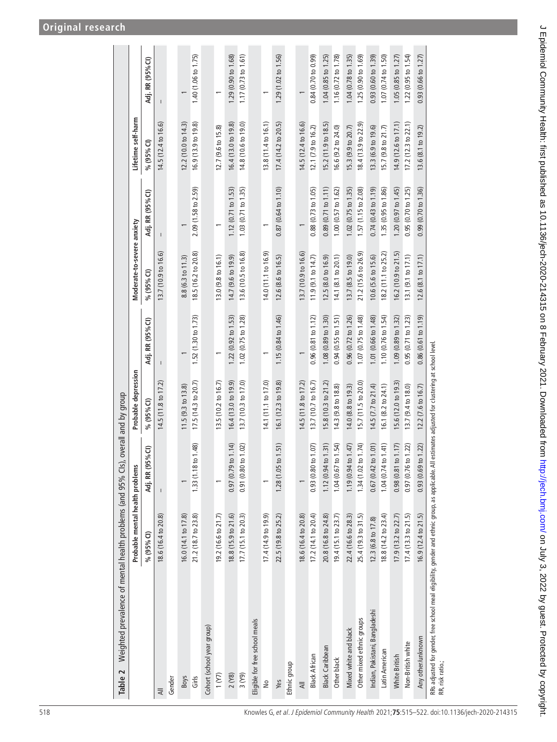<span id="page-3-0"></span>

| Weighted prevalence of mental health problems (and 95% Cls), overall and by group<br>Table 2                           |                                 |                                |                                                    |                               |                                |                               |                     |                     |
|------------------------------------------------------------------------------------------------------------------------|---------------------------------|--------------------------------|----------------------------------------------------|-------------------------------|--------------------------------|-------------------------------|---------------------|---------------------|
|                                                                                                                        | Probable mental health problems |                                | Probable depression                                |                               | Moderate-to-severe anxiety     |                               | Lifetime self-harm  |                     |
|                                                                                                                        | % (95% CI)                      | Adj. RR (95% CI)               | % (95% CI)                                         | Adj. RR (95% CI)              | % (95% CI)                     | Adj. RR (95% CI)              | % (95% CI)          | Adj. RR (95% CI)    |
| ₹                                                                                                                      | 18.6 (16.4 to 20.8)             |                                | 14.5(11.8 to 17.2)                                 |                               | 13.7 (10.9 to 16.6)            |                               | 14.5 (12.4 to 16.6) |                     |
| Gender                                                                                                                 |                                 |                                |                                                    |                               |                                |                               |                     |                     |
| <b>Boys</b>                                                                                                            | 16.0 (14.1 to 17.8)             |                                | 11.5 (9.3 to 13.8)                                 |                               | 8.8 (6.3 to 11.3)              |                               | 12.2 (10.0 to 14.3) |                     |
| Girls                                                                                                                  | 21.2 (18.7 to 23.8)             | to 1.48)<br>1.33(1.18          | 17.5 (14.3 to 20.7)                                | 1.52 (1.30 to 1.73)           | 18.5 (16.2 to 20.8)            | 2.09 (1.58 to 2.59)           | 16.9(13.9 to 19.8)  | 1.40 (1.06 to 1.75) |
| Cohort (school year group)                                                                                             |                                 |                                |                                                    |                               |                                |                               |                     |                     |
| 1 (Y)                                                                                                                  | 19.2 (16.6 to 21.7)             |                                | 13.5 (10.2 to 16.7)                                |                               | 13.0 (9.8 to 16.1)             |                               | 12.7 (9.6 to 15.8)  |                     |
| 2(Y8)                                                                                                                  | 18.8 (15.9 to 21.6)             | 0.97(0.79 to 1.14)             | 16.4 (13.0 to 19.9)                                | 1.22 (0.92 to 1.53)           | 14.7 (9.6 to 19.9)             | 1.12 (0.71 to 1.53)           | 16.4 (13.0 to 19.8) | 1.29 (0.90 to 1.68) |
| 3 (Y9)                                                                                                                 | 17.7 (15.1 to 20.3)             | $0.91$ $(0.80$ to $1.02)$      | 13.7 (10.3 to 17.0)                                | 1.02 (0.75 to 1.28)           | 13.6 (10.5 to 16.8)            | 1.03(0.71 to 1.35)            | 14.8 (10.6 to 19.0) | 1.17 (0.73 to 1.61) |
| Eligible for free school meals                                                                                         |                                 |                                |                                                    |                               |                                |                               |                     |                     |
| ş                                                                                                                      | 17.4 (14.9 to 19.9)             |                                | 14.1 (11.1 to 17.0)                                |                               | 14.0 $(11.1 \text{ to } 16.9)$ |                               | 13.8 (11.4 to 16.1) |                     |
| Yes                                                                                                                    | 22.5 (19.8 to 25.2)             | 1.28(1.05 to 1.51)             | 16.1 (12.3 to 19.8)                                | 1.15 (0.84 to 1.46)           | 12.6 (8.6 to 16.5)             | $0.87(0.64 \text{ to } 1.10)$ | 17.4 (14.2 to 20.5) | 1.29 (1.02 to 1.56) |
| Ethnic group                                                                                                           |                                 |                                |                                                    |                               |                                |                               |                     |                     |
| ₹                                                                                                                      | 18.6 (16.4 to 20.8)             |                                | 14.5 (11.8 to 17.2)                                |                               | 13.7 (10.9 to 16.6)            |                               | 14.5 (12.4 to 16.6) |                     |
| <b>Black African</b>                                                                                                   | 17.2 (14.1 to 20.4)             | 0.93(0.80 to 1.07)             | 13.7 (10.7 to 16.7)                                | 0.96(0.81 to 1.12)            | 11.9 $(9.1 to 14.7)$           | $0.88(0.73 \text{ to } 1.05)$ | 12.1 (7.9 to 16.2)  | 0.84 (0.70 to 0.99) |
| <b>Black Caribbean</b>                                                                                                 | 20.8 (16.8 to 24.8)             | 1.12 $(0.94 \text{ to } 1.31)$ | 15.8 (10.3 to 21.2)                                | 1.08(0.89 to 1.30)            | 12.5 (8.0 to 16.9)             | 0.89(0.71 to 1.11)            | 15.2 (11.9 to 18.5) | 1.04(0.85 to 1.25)  |
| Other black                                                                                                            | 19.4 (15.1 to 23.7)             | 1.04 (0.67 to 1.54)            | 14.3 (9.8 to 18.8)                                 | 0.94(0.55 to 1.51)            | 14.1 (8.1 to 20.1)             | $1.00$ (0.57 to $1.62$ )      | 16.6 (9.2 to 24.0)  | 1.16 (0.72 to 1.78) |
| Mixed white and black                                                                                                  | 22.4 (16.6 to 28.3)             | 1.19 (0.94 to $1.47$ )         | 14.0 (8.8 to 19.3)                                 | $0.96(0.72 \text{ to } 1.26)$ | 13.7 (8.5 to 19.0)             | 1.02 (0.75 to 1.35)           | 15.3 (9.9 to 20.7)  | 1.04 (0.78 to 1.35) |
| Other mixed ethnic groups                                                                                              | 25.4 (19.3 to 31.5)             | 1.34 (1.02 to 1.74)            | 15.7 (11.5 to 20.0)                                | 1.07 (0.75 to 1.48)           | 21.2 (15.6 to 26.9)            | 1.57 (1.15 to 2.08)           | 18.4 (13.9 to 22.9) | 1.25(0.90 to 1.69)  |
| Indian, Pakistani, Bangladeshi                                                                                         | 12.3 (6.8 to 17.8)              | $0.67(0.42 \text{ to } 1.01)$  | 14.5 (7.7 to 21.4)                                 | 1.01 (0.66 to 1.48)           | 10.6 (5.6 to 15.6)             | $0.74(0.43 \text{ to } 1.19)$ | 13.3 (6.9 to 19.6)  | 0.93(0.60 to 1.39)  |
| Latin American                                                                                                         | 18.8 (14.2 to 23.4)             | 1.04 (0.74 to 1.41)            | 16.1 (8.2 to 24.1)                                 | 1.10 (0.76 to 1.54)           | 18.2 (11.1 to 25.2)            | 1.35 (0.95 to 1.86)           | 15.7 (9.8 to 21.7)  | 1.07 (0.74 to 1.50) |
| White British                                                                                                          | 17.9 (13.2 to 22.7)             | 0.98(0.81 to 1.17)             | 15.6 (12.0 to 19.3)                                | 1.09(0.89 to 1.32)            | 16.2 (10.9 to 21.5)            | 1.20 (0.97 to 1.45)           | 14.9 (12.6 to 17.1) | 1.05(0.85 to 1.27)  |
| Non-British white                                                                                                      | 17.4 (13.3 to 21.5)             | 0.97 (0.76 to 1.22)            | 13.7 (9.4 to 18.0)                                 | 0.95(0.71 to 1.23)            | 13.1 (9.1 to 17.1)             | 0.95 (0.70 to 1.25)           | 17.2 (12.3 to 22.1) | 1.22 (0.95 to 1.54) |
| Any other/unknown                                                                                                      | 16.9 (12.4 to 21.5)             | 0.93(0.69 to 1.22)             | 12.2 (7.6 to 16.7)                                 | 0.86(0.61 to 1.19)            | 12.6 (8.1 to 17.1)             | 0.99(0.70 to 1.36)            | 13.6 (8.1 to 19.2)  | 0.93(0.66 to 1.27)  |
| RRs adjusted for gender, free school meal eligibility, gender and ethnic group, as applicable. All<br>RR, risk ratio.: |                                 |                                | estimates adjusted for clustering at school level. |                               |                                |                               |                     |                     |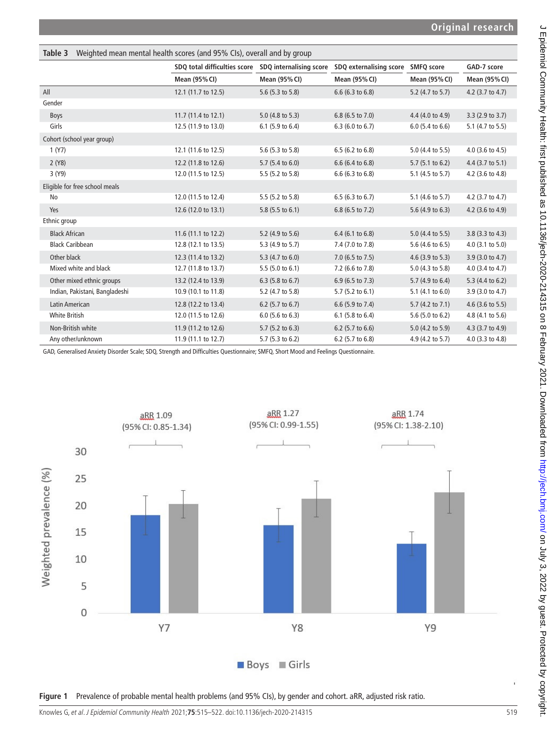<span id="page-4-0"></span>

| Weighted mean mental health scores (and 95% CIs), overall and by group<br>Table 3 |                                                      |                    |                                    |                             |                      |  |  |  |
|-----------------------------------------------------------------------------------|------------------------------------------------------|--------------------|------------------------------------|-----------------------------|----------------------|--|--|--|
|                                                                                   | SDQ total difficulties score SDQ internalising score |                    | SDQ externalising score SMFQ score |                             | GAD-7 score          |  |  |  |
|                                                                                   | Mean (95% CI)                                        | Mean (95% CI)      | Mean (95% CI)                      | Mean (95% CI)               | <b>Mean (95% CI)</b> |  |  |  |
| All                                                                               | 12.1 (11.7 to 12.5)                                  | 5.6 (5.3 to 5.8)   | $6.6$ (6.3 to 6.8)                 | 5.2 (4.7 to 5.7)            | 4.2 (3.7 to 4.7)     |  |  |  |
| Gender                                                                            |                                                      |                    |                                    |                             |                      |  |  |  |
| Boys                                                                              | 11.7 (11.4 to 12.1)                                  | $5.0$ (4.8 to 5.3) | 6.8 (6.5 to 7.0)                   | 4.4 (4.0 to 4.9)            | 3.3 (2.9 to 3.7)     |  |  |  |
| Girls                                                                             | 12.5 (11.9 to 13.0)                                  | 6.1 (5.9 to 6.4)   | $6.3$ (6.0 to 6.7)                 | $6.0$ (5.4 to $6.6$ )       | 5.1 (4.7 to 5.5)     |  |  |  |
| Cohort (school year group)                                                        |                                                      |                    |                                    |                             |                      |  |  |  |
| 1 (Y7)                                                                            | 12.1 (11.6 to 12.5)                                  | 5.6 (5.3 to 5.8)   | 6.5 (6.2 to 6.8)                   | 5.0 (4.4 to 5.5)            | 4.0 (3.6 to 4.5)     |  |  |  |
| 2(Y8)                                                                             | 12.2 (11.8 to 12.6)                                  | 5.7 (5.4 to 6.0)   | 6.6 (6.4 to 6.8)                   | $5.7(5.1 \text{ to } 6.2)$  | 4.4 (3.7 to 5.1)     |  |  |  |
| 3 (Y9)                                                                            | 12.0 (11.5 to 12.5)                                  | 5.5 (5.2 to 5.8)   | $6.6$ (6.3 to 6.8)                 | 5.1 (4.5 to 5.7)            | 4.2 (3.6 to 4.8)     |  |  |  |
| Eligible for free school meals                                                    |                                                      |                    |                                    |                             |                      |  |  |  |
| No                                                                                | 12.0 (11.5 to 12.4)                                  | 5.5 (5.2 to 5.8)   | $6.5$ (6.3 to 6.7)                 | 5.1 (4.6 to 5.7)            | 4.2 (3.7 to 4.7)     |  |  |  |
| Yes                                                                               | 12.6 (12.0 to 13.1)                                  | $5.8$ (5.5 to 6.1) | 6.8 (6.5 to 7.2)                   | 5.6 (4.9 to 6.3)            | 4.2 (3.6 to 4.9)     |  |  |  |
| Ethnic group                                                                      |                                                      |                    |                                    |                             |                      |  |  |  |
| <b>Black African</b>                                                              | 11.6 (11.1 to 12.2)                                  | 5.2 (4.9 to 5.6)   | 6.4 (6.1 to 6.8)                   | 5.0 (4.4 to 5.5)            | 3.8 (3.3 to 4.3)     |  |  |  |
| <b>Black Caribbean</b>                                                            | 12.8 (12.1 to 13.5)                                  | 5.3 (4.9 to 5.7)   | 7.4 (7.0 to 7.8)                   | 5.6 (4.6 to 6.5)            | 4.0 (3.1 to 5.0)     |  |  |  |
| Other black                                                                       | 12.3 (11.4 to 13.2)                                  | 5.3 (4.7 to 6.0)   | 7.0 (6.5 to 7.5)                   | $4.6$ (3.9 to 5.3)          | 3.9 (3.0 to 4.7)     |  |  |  |
| Mixed white and black                                                             | 12.7 (11.8 to 13.7)                                  | 5.5(5.0 to 6.1)    | 7.2 (6.6 to 7.8)                   | 5.0 (4.3 to 5.8)            | 4.0 (3.4 to 4.7)     |  |  |  |
| Other mixed ethnic groups                                                         | 13.2 (12.4 to 13.9)                                  | $6.3$ (5.8 to 6.7) | 6.9 (6.5 to 7.3)                   | 5.7 (4.9 to 6.4)            | 5.3 (4.4 to 6.2)     |  |  |  |
| Indian, Pakistani, Bangladeshi                                                    | 10.9 (10.1 to 11.8)                                  | 5.2 (4.7 to 5.8)   | $5.7$ (5.2 to 6.1)                 | 5.1 $(4.1 \text{ to } 6.0)$ | 3.9 (3.0 to 4.7)     |  |  |  |
| Latin American                                                                    | 12.8 (12.2 to 13.4)                                  | $6.2$ (5.7 to 6.7) | 6.6 (5.9 to 7.4)                   | 5.7 (4.2 to 7.1)            | 4.6 (3.6 to 5.5)     |  |  |  |
| <b>White British</b>                                                              | 12.0 (11.5 to 12.6)                                  | $6.0$ (5.6 to 6.3) | 6.1 $(5.8 \text{ to } 6.4)$        | 5.6 (5.0 to 6.2)            | 4.8 (4.1 to 5.6)     |  |  |  |
| Non-British white                                                                 | 11.9 (11.2 to 12.6)                                  | 5.7 (5.2 to 6.3)   | 6.2 (5.7 to 6.6)                   | 5.0 (4.2 to 5.9)            | 4.3 (3.7 to 4.9)     |  |  |  |
| Any other/unknown                                                                 | 11.9 (11.1 to 12.7)                                  | $5.7$ (5.3 to 6.2) | 6.2 (5.7 to 6.8)                   | 4.9 (4.2 to 5.7)            | 4.0 (3.3 to 4.8)     |  |  |  |

GAD, Generalised Anxiety Disorder Scale; SDQ, Strength and Difficulties Questionnaire; SMFQ, Short Mood and Feelings Questionnaire.



<span id="page-4-1"></span>**Figure 1** Prevalence of probable mental health problems (and 95% CIs), by gender and cohort. aRR, adjusted risk ratio.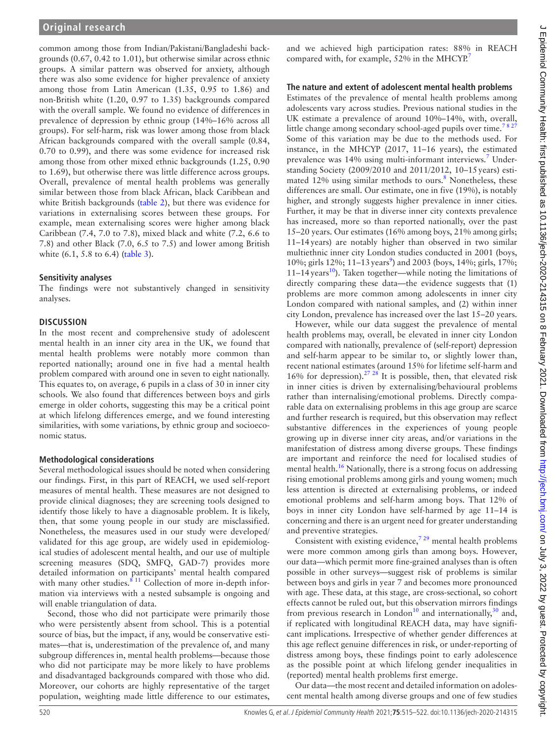common among those from Indian/Pakistani/Bangladeshi backgrounds (0.67, 0.42 to 1.01), but otherwise similar across ethnic groups. A similar pattern was observed for anxiety, although there was also some evidence for higher prevalence of anxiety among those from Latin American (1.35, 0.95 to 1.86) and non-British white (1.20, 0.97 to 1.35) backgrounds compared with the overall sample. We found no evidence of differences in prevalence of depression by ethnic group (14%–16% across all groups). For self-harm, risk was lower among those from black African backgrounds compared with the overall sample (0.84, 0.70 to 0.99), and there was some evidence for increased risk among those from other mixed ethnic backgrounds (1.25, 0.90 to 1.69), but otherwise there was little difference across groups. Overall, prevalence of mental health problems was generally similar between those from black African, black Caribbean and white British backgrounds ([table](#page-3-0) 2), but there was evidence for variations in externalising scores between these groups. For example, mean externalising scores were higher among black Caribbean (7.4, 7.0 to 7.8), mixed black and white (7.2, 6.6 to 7.8) and other Black (7.0, 6.5 to 7.5) and lower among British white (6.1, 5.8 to 6.4) ([table](#page-4-0) 3).

#### **Sensitivity analyses**

The findings were not substantively changed in sensitivity analyses.

#### **DISCUSSION**

In the most recent and comprehensive study of adolescent mental health in an inner city area in the UK, we found that mental health problems were notably more common than reported nationally; around one in five had a mental health problem compared with around one in seven to eight nationally. This equates to, on average, 6 pupils in a class of 30 in inner city schools. We also found that differences between boys and girls emerge in older cohorts, suggesting this may be a critical point at which lifelong differences emerge, and we found interesting similarities, with some variations, by ethnic group and socioeconomic status.

#### **Methodological considerations**

Several methodological issues should be noted when considering our findings. First, in this part of REACH, we used self-report measures of mental health. These measures are not designed to provide clinical diagnoses; they are screening tools designed to identify those likely to have a diagnosable problem. It is likely, then, that some young people in our study are misclassified. Nonetheless, the measures used in our study were developed/ validated for this age group, are widely used in epidemiological studies of adolescent mental health, and our use of multiple screening measures (SDQ, SMFQ, GAD-7) provides more detailed information on participants' mental health compared with many other studies.  $8^{11}$  Collection of more in-depth information via interviews with a nested subsample is ongoing and will enable triangulation of data.

Second, those who did not participate were primarily those who were persistently absent from school. This is a potential source of bias, but the impact, if any, would be conservative estimates—that is, underestimation of the prevalence of, and many subgroup differences in, mental health problems—because those who did not participate may be more likely to have problems and disadvantaged backgrounds compared with those who did. Moreover, our cohorts are highly representative of the target population, weighting made little difference to our estimates,

and we achieved high participation rates: 88% in REACH compared with, for example, 52% in the MHCYP.<sup>[7](#page-7-4)</sup>

## **The nature and extent of adolescent mental health problems**

Estimates of the prevalence of mental health problems among adolescents vary across studies. Previous national studies in the UK estimate a prevalence of around 10%–14%, with, overall, little change among secondary school-aged pupils over time.<sup>7827</sup> Some of this variation may be due to the methods used. For instance, in the MHCYP (2017, 11–16 years), the estimated prevalence was 14% using multi-informant interviews.<sup>[7](#page-7-4)</sup> Understanding Society (2009/2010 and 2011/2012, 10–15years) esti-mated 12% using similar methods to ours.<sup>[8](#page-7-5)</sup> Nonetheless, these differences are small. Our estimate, one in five (19%), is notably higher, and strongly suggests higher prevalence in inner cities. Further, it may be that in diverse inner city contexts prevalence has increased, more so than reported nationally, over the past 15–20 years. Our estimates (16% among boys, 21% among girls; 11–14years) are notably higher than observed in two similar multiethnic inner city London studies conducted in 2001 (boys, 10%; girls 12%; 11-13 years<sup>[9](#page-7-6)</sup>) and 2003 (boys, 14%; girls, 17%; 11–14 years<sup>10</sup>). Taken together—while noting the limitations of directly comparing these data—the evidence suggests that (1) problems are more common among adolescents in inner city London compared with national samples, and (2) within inner city London, prevalence has increased over the last 15–20 years.

However, while our data suggest the prevalence of mental health problems may, overall, be elevated in inner city London compared with nationally, prevalence of (self-report) depression and self-harm appear to be similar to, or slightly lower than, recent national estimates (around 15% for lifetime self-harm and 16% for depression).<sup>27</sup> <sup>28</sup> It is possible, then, that elevated risk in inner cities is driven by externalising/behavioural problems rather than internalising/emotional problems. Directly comparable data on externalising problems in this age group are scarce and further research is required, but this observation may reflect substantive differences in the experiences of young people growing up in diverse inner city areas, and/or variations in the manifestation of distress among diverse groups. These findings are important and reinforce the need for localised studies of mental health.[16](#page-7-9) Nationally, there is a strong focus on addressing rising emotional problems among girls and young women; much less attention is directed at externalising problems, or indeed emotional problems and self-harm among boys. That 12% of boys in inner city London have self-harmed by age 11–14 is concerning and there is an urgent need for greater understanding and preventive strategies.

Consistent with existing evidence,  $729$  mental health problems were more common among girls than among boys. However, our data—which permit more fine-grained analyses than is often possible in other surveys—suggest risk of problems is similar between boys and girls in year 7 and becomes more pronounced with age. These data, at this stage, are cross-sectional, so cohort effects cannot be ruled out, but this observation mirrors findings from previous research in London<sup>10</sup> and internationally,<sup>[30](#page-7-21)</sup> and, if replicated with longitudinal REACH data, may have significant implications. Irrespective of whether gender differences at this age reflect genuine differences in risk, or under-reporting of distress among boys, these findings point to early adolescence as the possible point at which lifelong gender inequalities in (reported) mental health problems first emerge.

Our data—the most recent and detailed information on adolescent mental health among diverse groups and one of few studies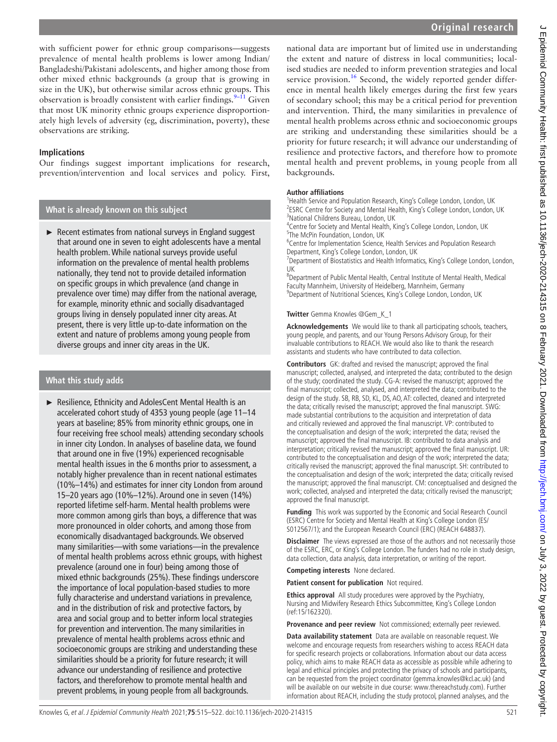$\subset$ J Epidemiol Community Health: first published as 10.1136/jech-2020-214315 on 8 February 2021. Downloaded from <http://jech.bmj.com/> on July 3, 2022 by guest. Protected by copyright. Epidemiol Community Health: first published as 10.1136/jech-2020-214315 on 8 February 2021. Downloaded from http://jech.bmj.com/ on July 3, 2022 by guest. Protected by copyright

with sufficient power for ethnic group comparisons—suggests prevalence of mental health problems is lower among Indian/ Bangladeshi/Pakistani adolescents, and higher among those from other mixed ethnic backgrounds (a group that is growing in size in the UK), but otherwise similar across ethnic groups. This observation is broadly consistent with earlier findings.  $9-11$  Given that most UK minority ethnic groups experience disproportionately high levels of adversity (eg, discrimination, poverty), these observations are striking.

## **Implications**

Our findings suggest important implications for research, prevention/intervention and local services and policy. First,

## **What is already known on this subject**

► Recent estimates from national surveys in England suggest that around one in seven to eight adolescents have a mental health problem. While national surveys provide useful information on the prevalence of mental health problems nationally, they tend not to provide detailed information on specific groups in which prevalence (and change in prevalence over time) may differ from the national average, for example, minority ethnic and socially disadvantaged groups living in densely populated inner city areas. At present, there is very little up-to-date information on the extent and nature of problems among young people from diverse groups and inner city areas in the UK.

## **What this study adds**

► Resilience, Ethnicity and AdolesCent Mental Health is an accelerated cohort study of 4353 young people (age 11–14 years at baseline; 85% from minority ethnic groups, one in four receiving free school meals) attending secondary schools in inner city London. In analyses of baseline data, we found that around one in five (19%) experienced recognisable mental health issues in the 6 months prior to assessment, a notably higher prevalence than in recent national estimates (10%–14%) and estimates for inner city London from around 15–20 years ago (10%–12%). Around one in seven (14%) reported lifetime self-harm. Mental health problems were more common among girls than boys, a difference that was more pronounced in older cohorts, and among those from economically disadvantaged backgrounds. We observed many similarities—with some variations—in the prevalence of mental health problems across ethnic groups, with highest prevalence (around one in four) being among those of mixed ethnic backgrounds (25%). These findings underscore the importance of local population-based studies to more fully characterise and understand variations in prevalence, and in the distribution of risk and protective factors, by area and social group and to better inform local strategies for prevention and intervention. The many similarities in prevalence of mental health problems across ethnic and socioeconomic groups are striking and understanding these similarities should be a priority for future research; it will advance our understanding of resilience and protective factors, and thereforehow to promote mental health and prevent problems, in young people from all backgrounds.

national data are important but of limited use in understanding the extent and nature of distress in local communities; localised studies are needed to inform prevention strategies and local service provision.<sup>16</sup> Second, the widely reported gender difference in mental health likely emerges during the first few years of secondary school; this may be a critical period for prevention and intervention. Third, the many similarities in prevalence of mental health problems across ethnic and socioeconomic groups are striking and understanding these similarities should be a priority for future research; it will advance our understanding of resilience and protective factors, and therefore how to promote mental health and prevent problems, in young people from all backgrounds.

### **Author affiliations**

<sup>1</sup>Health Service and Population Research, King's College London, London, UK <sup>2</sup>ESRC Centre for Society and Mental Health, King's College London, London, UK 3 National Childrens Bureau, London, UK

<sup>4</sup> Centre for Society and Mental Health, King's College London, London, UK 5 The McPin Foundation, London, UK

<sup>6</sup> Centre for Implementation Science, Health Services and Population Research Department, King's College London, London, UK

<sup>7</sup>Department of Biostatistics and Health Informatics, King's College London, London, UK

8 Department of Public Mental Health, Central Institute of Mental Health, Medical Faculty Mannheim, University of Heidelberg, Mannheim, Germany <sup>9</sup>Department of Nutritional Sciences, King's College London, London, UK

#### **Twitter** Gemma Knowles [@Gem\\_K\\_1](https://twitter.com/Gem_K_1)

**Acknowledgements** We would like to thank all participating schools, teachers, young people, and parents, and our Young Persons Advisory Group, for their invaluable contributions to REACH. We would also like to thank the research assistants and students who have contributed to data collection.

**Contributors** GK: drafted and revised the manuscript; approved the final manuscript; collected, analysed, and interpreted the data; contributed to the design of the study; coordinated the study. CG-A: revised the manuscript; approved the final manuscript; collected, analysed, and interpreted the data; contributed to the design of the study. SB, RB, SD, KL, DS, AO, AT: collected, cleaned and interpreted the data; critically revised the manuscript; approved the final manuscript. SWG: made substantial contributions to the acquisition and interpretation of data and critically reviewed and approved the final manuscript. VP: contributed to the conceptualisation and design of the work; interpreted the data; revised the manuscript; approved the final manuscript. IB: contributed to data analysis and interpretation; critically revised the manuscript; approved the final manuscript. UR: contributed to the conceptualisation and design of the work; interpreted the data; critically revised the manuscript; approved the final manuscript. SH: contributed to the conceptualisation and design of the work; interpreted the data; critically revised the manuscript; approved the final manuscript. CM: conceptualised and designed the work; collected, analysed and interpreted the data; critically revised the manuscript; approved the final manuscript.

**Funding** This work was supported by the Economic and Social Research Council (ESRC) Centre for Society and Mental Health at King's College London (ES/ S012567/1); and the European Research Council (ERC) (REACH 648837).

**Disclaimer** The views expressed are those of the authors and not necessarily those of the ESRC, ERC, or King's College London. The funders had no role in study design, data collection, data analysis, data interpretation, or writing of the report.

**Competing interests** None declared.

**Patient consent for publication** Not required.

**Ethics approval** All study procedures were approved by the Psychiatry, Nursing and Midwifery Research Ethics Subcommittee, King's College London (ref:15/162320).

**Provenance and peer review** Not commissioned; externally peer reviewed.

**Data availability statement** Data are available on reasonable request. We welcome and encourage requests from researchers wishing to access REACH data for specific research projects or collaborations. Information about our data access policy, which aims to make REACH data as accessible as possible while adhering to legal and ethical principles and protecting the privacy of schools and participants, can be requested from the project coordinator (gemma.knowles@kcl.ac.uk) (and will be available on our website in due course: www.thereachstudy.com). Further information about REACH, including the study protocol, planned analyses, and the